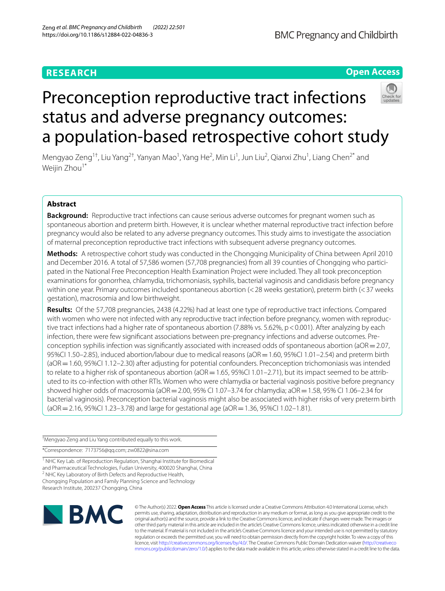# **RESEARCH**

# **Open Access**



# Preconception reproductive tract infections status and adverse pregnancy outcomes: a population-based retrospective cohort study

Mengyao Zeng<sup>1†</sup>, Liu Yang<sup>2†</sup>, Yanyan Mao<sup>1</sup>, Yang He<sup>2</sup>, Min Li<sup>1</sup>, Jun Liu<sup>2</sup>, Qianxi Zhu<sup>1</sup>, Liang Chen<sup>2\*</sup> and Weijin Zhou<sup>1\*</sup>

# **Abstract**

**Background:** Reproductive tract infections can cause serious adverse outcomes for pregnant women such as spontaneous abortion and preterm birth. However, it is unclear whether maternal reproductive tract infection before pregnancy would also be related to any adverse pregnancy outcomes. This study aims to investigate the association of maternal preconception reproductive tract infections with subsequent adverse pregnancy outcomes.

**Methods:** A retrospective cohort study was conducted in the Chongqing Municipality of China between April 2010 and December 2016. A total of 57,586 women (57,708 pregnancies) from all 39 counties of Chongqing who participated in the National Free Preconception Health Examination Project were included. They all took preconception examinations for gonorrhea, chlamydia, trichomoniasis, syphilis, bacterial vaginosis and candidiasis before pregnancy within one year. Primary outcomes included spontaneous abortion (<28 weeks gestation), preterm birth (<37 weeks gestation), macrosomia and low birthweight.

**Results:** Of the 57,708 pregnancies, 2438 (4.22%) had at least one type of reproductive tract infections. Compared with women who were not infected with any reproductive tract infection before pregnancy, women with reproductive tract infections had a higher rate of spontaneous abortion (7.88% vs. 5.62%, p < 0.001). After analyzing by each infection, there were few signifcant associations between pre-pregnancy infections and adverse outcomes. Preconception syphilis infection was significantly associated with increased odds of spontaneous abortion ( $aOR = 2.07$ , 95%CI 1.50–2.85), induced abortion/labour due to medical reasons (aOR = 1.60, 95%CI 1.01–2.54) and preterm birth (aOR=1.60, 95%CI 1.12–2.30) after adjusting for potential confounders. Preconception trichomoniasis was intended to relate to a higher risk of spontaneous abortion (aOR = 1.65, 95%CI 1.01–2.71), but its impact seemed to be attributed to its co-infection with other RTIs. Women who were chlamydia or bacterial vaginosis positive before pregnancy showed higher odds of macrosomia (aOR=2.00, 95% CI 1.07–3.74 for chlamydia; aOR=1.58, 95% CI 1.06–2.34 for bacterial vaginosis). Preconception bacterial vaginosis might also be associated with higher risks of very preterm birth  $(aOR = 2.16, 95\%$ CI 1.23–3.78) and large for gestational age  $(aOR = 1.36, 95\%$ CI 1.02–1.81).

† Mengyao Zeng and Liu Yang contributed equally to this work.

\*Correspondence: 7173756@qq.com; zw0822@sina.com

<sup>1</sup> NHC Key Lab. of Reproduction Regulation, Shanghai Institute for Biomedical and Pharmaceutical Technologies, Fudan University, 400020 Shanghai, China <sup>2</sup> NHC Key Laboratory of Birth Defects and Reproductive Health, Chongqing Population and Family Planning Science and Technology Research Institute, 200237 Chongqing, China



© The Author(s) 2022. **Open Access** This article is licensed under a Creative Commons Attribution 4.0 International License, which permits use, sharing, adaptation, distribution and reproduction in any medium or format, as long as you give appropriate credit to the original author(s) and the source, provide a link to the Creative Commons licence, and indicate if changes were made. The images or other third party material in this article are included in the article's Creative Commons licence, unless indicated otherwise in a credit line to the material. If material is not included in the article's Creative Commons licence and your intended use is not permitted by statutory regulation or exceeds the permitted use, you will need to obtain permission directly from the copyright holder. To view a copy of this licence, visit [http://creativecommons.org/licenses/by/4.0/.](http://creativecommons.org/licenses/by/4.0/) The Creative Commons Public Domain Dedication waiver ([http://creativeco](http://creativecommons.org/publicdomain/zero/1.0/) [mmons.org/publicdomain/zero/1.0/](http://creativecommons.org/publicdomain/zero/1.0/)) applies to the data made available in this article, unless otherwise stated in a credit line to the data.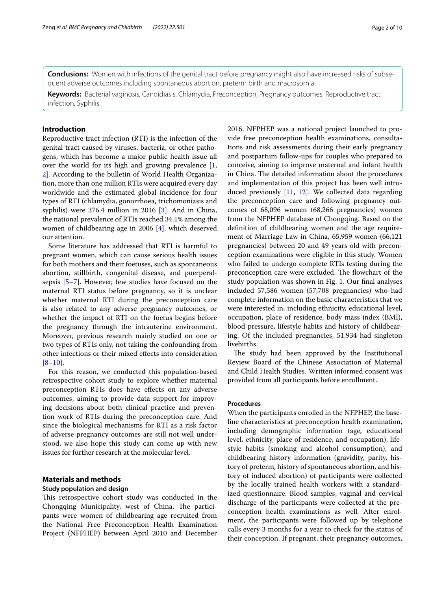**Conclusions:** Women with infections of the genital tract before pregnancy might also have increased risks of subsequent adverse outcomes including spontaneous abortion, preterm birth and macrosomia.

**Keywords:** Bacterial vaginosis, Candidiasis, Chlamydia, Preconception, Pregnancy outcomes, Reproductive tract infection, Syphilis

# **Introduction**

Reproductive tract infection (RTI) is the infection of the genital tract caused by viruses, bacteria, or other pathogens, which has become a major public health issue all over the world for its high and growing prevalence  $[1, 1]$  $[1, 1]$ [2\]](#page-8-1). According to the bulletin of World Health Organization, more than one million RTIs were acquired every day worldwide and the estimated global incidence for four types of RTI (chlamydia, gonorrhoea, trichomoniasis and syphilis) were 376.4 million in 2016 [[3\]](#page-8-2). And in China, the national prevalence of RTIs reached 34.1% among the women of childbearing age in 2006 [[4\]](#page-8-3), which deserved our attention.

Some literature has addressed that RTI is harmful to pregnant women, which can cause serious health issues for both mothers and their foetuses, such as spontaneous abortion, stillbirth, congenital disease, and puerperalsepsis [[5–](#page-8-4)[7](#page-8-5)]. However, few studies have focused on the maternal RTI status before pregnancy, so it is unclear whether maternal RTI during the preconception care is also related to any adverse pregnancy outcomes, or whether the impact of RTI on the foetus begins before the pregnancy through the intrauterine environment. Moreover, previous research mainly studied on one or two types of RTIs only, not taking the confounding from other infections or their mixed efects into consideration  $[8-10]$  $[8-10]$ .

For this reason, we conducted this population-based retrospective cohort study to explore whether maternal preconception RTIs does have efects on any adverse outcomes, aiming to provide data support for improving decisions about both clinical practice and prevention work of RTIs during the preconception care. And since the biological mechanisms for RTI as a risk factor of adverse pregnancy outcomes are still not well understood, we also hope this study can come up with new issues for further research at the molecular level.

# **Materials and methods**

# **Study population and design**

This retrospective cohort study was conducted in the Chongqing Municipality, west of China. The participants were women of childbearing age recruited from the National Free Preconception Health Examination Project (NFPHEP) between April 2010 and December 2016. NFPHEP was a national project launched to provide free preconception health examinations, consultations and risk assessments during their early pregnancy and postpartum follow-ups for couples who prepared to conceive, aiming to improve maternal and infant health in China. The detailed information about the procedures and implementation of this project has been well introduced previously [\[11](#page-9-2), [12](#page-9-3)]. We collected data regarding the preconception care and following pregnancy outcomes of 68,096 women (68,266 pregnancies) women from the NFPHEP database of Chongqing. Based on the defnition of childbearing women and the age requirement of Marriage Law in China, 65,959 women (66,121 pregnancies) between 20 and 49 years old with preconception examinations were eligible in this study. Women who failed to undergo complete RTIs testing during the preconception care were excluded. The flowchart of the study population was shown in Fig. [1](#page-2-0). Our final analyses included 57,586 women (57,708 pregnancies) who had complete information on the basic characteristics that we were interested in, including ethnicity, educational level, occupation, place of residence, body mass index (BMI), blood pressure, lifestyle habits and history of childbearing. Of the included pregnancies, 51,934 had singleton livebirths.

The study had been approved by the Institutional Review Board of the Chinese Association of Maternal and Child Health Studies. Written informed consent was provided from all participants before enrollment.

## **Procedures**

When the participants enrolled in the NFPHEP, the baseline characteristics at preconception health examination, including demographic information (age, educational level, ethnicity, place of residence, and occupation), lifestyle habits (smoking and alcohol consumption), and childbearing history information (gravidity, parity, history of preterm, history of spontaneous abortion, and history of induced abortion) of participants were collected by the locally trained health workers with a standardized questionnaire. Blood samples, vaginal and cervical discharge of the participants were collected at the preconception health examinations as well. After enrolment, the participants were followed up by telephone calls every 3 months for a year to check for the status of their conception. If pregnant, their pregnancy outcomes,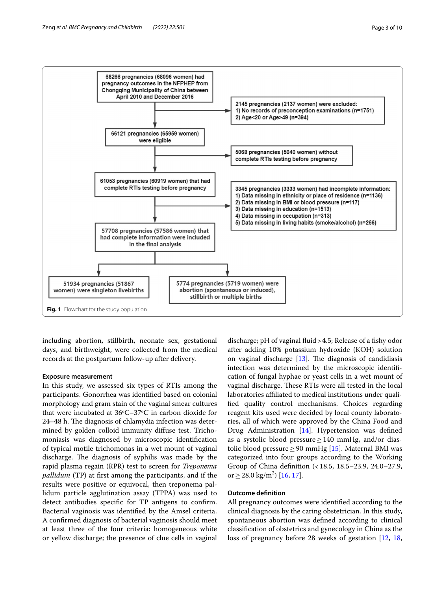

<span id="page-2-0"></span>including abortion, stillbirth, neonate sex, gestational days, and birthweight, were collected from the medical records at the postpartum follow-up after delivery.

## **Exposure measurement**

In this study, we assessed six types of RTIs among the participants. Gonorrhea was identifed based on colonial morphology and gram stain of the vaginal smear cultures that were incubated at 36ºC–37ºC in carbon dioxide for 24–48 h. The diagnosis of chlamydia infection was determined by golden colloid immunity difuse test. Trichomoniasis was diagnosed by microscopic identifcation of typical motile trichomonas in a wet mount of vaginal discharge. The diagnosis of syphilis was made by the rapid plasma regain (RPR) test to screen for *Treponema pallidum* (TP) at frst among the participants, and if the results were positive or equivocal, then treponema pallidum particle agglutination assay (TPPA) was used to detect antibodies specifc for TP antigens to confrm. Bacterial vaginosis was identifed by the Amsel criteria. A confrmed diagnosis of bacterial vaginosis should meet at least three of the four criteria: homogeneous white or yellow discharge; the presence of clue cells in vaginal

discharge; pH of vaginal fluid > 4.5; Release of a fishy odor after adding 10% potassium hydroxide (KOH) solution on vaginal discharge  $[13]$  $[13]$ . The diagnosis of candidiasis infection was determined by the microscopic identifcation of fungal hyphae or yeast cells in a wet mount of vaginal discharge. These RTIs were all tested in the local laboratories afliated to medical institutions under qualifed quality control mechanisms. Choices regarding reagent kits used were decided by local county laboratories, all of which were approved by the China Food and Drug Administration [[14\]](#page-9-5). Hypertension was defned as a systolic blood pressure≥140 mmHg, and/or dias-tolic blood pressure ≥90 mmHg [[15](#page-9-6)]. Maternal BMI was categorized into four groups according to the Working Group of China defnition (<18.5, 18.5–23.9, 24.0–27.9, or  $\geq$  28.0 kg/m<sup>2</sup>) [\[16](#page-9-7), [17\]](#page-9-8).

# **Outcome defnition**

All pregnancy outcomes were identifed according to the clinical diagnosis by the caring obstetrician. In this study, spontaneous abortion was defned according to clinical classifcation of obstetrics and gynecology in China as the loss of pregnancy before 28 weeks of gestation [[12](#page-9-3), [18](#page-9-9),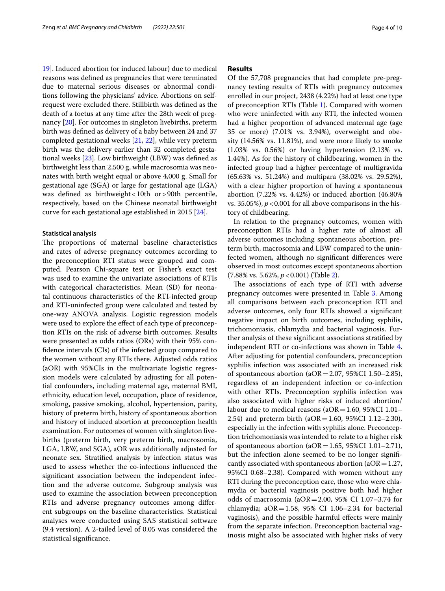[19\]](#page-9-10). Induced abortion (or induced labour) due to medical reasons was defned as pregnancies that were terminated due to maternal serious diseases or abnormal conditions following the physicians' advice. Abortions on selfrequest were excluded there. Stillbirth was defned as the death of a foetus at any time after the 28th week of pregnancy [\[20\]](#page-9-11). For outcomes in singleton livebirths, preterm birth was defned as delivery of a baby between 24 and 37 completed gestational weeks [[21,](#page-9-12) [22](#page-9-13)], while very preterm birth was the delivery earlier than 32 completed gestational weeks [\[23\]](#page-9-14). Low birthweight (LBW) was defned as birthweight less than 2,500 g, while macrosomia was neonates with birth weight equal or above 4,000 g. Small for gestational age (SGA) or large for gestational age (LGA) was defined as birthweight < 10th or > 90th percentile, respectively, based on the Chinese neonatal birthweight curve for each gestational age established in 2015 [[24\]](#page-9-15).

#### **Statistical analysis**

The proportions of maternal baseline characteristics and rates of adverse pregnancy outcomes according to the preconception RTI status were grouped and computed. Pearson Chi-square test or Fisher's exact test was used to examine the univariate associations of RTIs with categorical characteristics. Mean (SD) for neonatal continuous characteristics of the RTI-infected group and RTI-uninfected group were calculated and tested by one-way ANOVA analysis. Logistic regression models were used to explore the efect of each type of preconception RTIs on the risk of adverse birth outcomes. Results were presented as odds ratios (ORs) with their 95% confdence intervals (CIs) of the infected group compared to the women without any RTIs there. Adjusted odds ratios (aOR) with 95%CIs in the multivariate logistic regression models were calculated by adjusting for all potential confounders, including maternal age, maternal BMI, ethnicity, education level, occupation, place of residence, smoking, passive smoking, alcohol, hypertension, parity, history of preterm birth, history of spontaneous abortion and history of induced abortion at preconception health examination. For outcomes of women with singleton livebirths (preterm birth, very preterm birth, macrosomia, LGA, LBW, and SGA), aOR was additionally adjusted for neonate sex. Stratifed analysis by infection status was used to assess whether the co-infections infuenced the signifcant association between the independent infection and the adverse outcome. Subgroup analysis was used to examine the association between preconception RTIs and adverse pregnancy outcomes among diferent subgroups on the baseline characteristics. Statistical analyses were conducted using SAS statistical software (9.4 version). A 2-tailed level of 0.05 was considered the statistical signifcance.

# **Results**

Of the 57,708 pregnancies that had complete pre-pregnancy testing results of RTIs with pregnancy outcomes enrolled in our project, 2438 (4.22%) had at least one type of preconception RTIs (Table [1\)](#page-4-0). Compared with women who were uninfected with any RTI, the infected women had a higher proportion of advanced maternal age (age 35 or more) (7.01% vs. 3.94%), overweight and obesity (14.56% vs. 11.81%), and were more likely to smoke (1.03% vs. 0.56%) or having hypertension (2.13% vs. 1.44%). As for the history of childbearing, women in the infected group had a higher percentage of multigravida (65.63% vs. 51.24%) and multipara (38.02% vs. 29.52%), with a clear higher proportion of having a spontaneous abortion (7.22% vs. 4.42%) or induced abortion (46.80% vs. 35.05%),  $p < 0.001$  for all above comparisons in the history of childbearing.

In relation to the pregnancy outcomes, women with preconception RTIs had a higher rate of almost all adverse outcomes including spontaneous abortion, preterm birth, macrosomia and LBW compared to the uninfected women, although no signifcant diferences were observed in most outcomes except spontaneous abortion (7.88% vs. 5.62%, *p*<0.001) (Table [2\)](#page-5-0).

The associations of each type of RTI with adverse pregnancy outcomes were presented in Table [3](#page-6-0). Among all comparisons between each preconception RTI and adverse outcomes, only four RTIs showed a signifcant negative impact on birth outcomes, including syphilis, trichomoniasis, chlamydia and bacterial vaginosis. Further analysis of these signifcant associations stratifed by independent RTI or co-infections was shown in Table [4](#page-7-0). After adjusting for potential confounders, preconception syphilis infection was associated with an increased risk of spontaneous abortion ( $aOR = 2.07$ , 95%CI 1.50–2.85), regardless of an independent infection or co-infection with other RTIs. Preconception syphilis infection was also associated with higher risks of induced abortion/ labour due to medical reasons ( $aOR = 1.60$ , 95%CI 1.01– 2.54) and preterm birth ( $aOR = 1.60$ , 95%CI 1.12–2.30), especially in the infection with syphilis alone. Preconception trichomoniasis was intended to relate to a higher risk of spontaneous abortion ( $aOR = 1.65$ , 95%CI 1.01–2.71), but the infection alone seemed to be no longer signifcantly associated with spontaneous abortion ( $aOR = 1.27$ , 95%CI 0.68–2.38). Compared with women without any RTI during the preconception care, those who were chlamydia or bacterial vaginosis positive both had higher odds of macrosomia ( $aOR = 2.00$ , 95% CI 1.07-3.74 for chlamydia; a $OR = 1.58$ , 95% CI 1.06-2.34 for bacterial vaginosis), and the possible harmful efects were mainly from the separate infection. Preconception bacterial vaginosis might also be associated with higher risks of very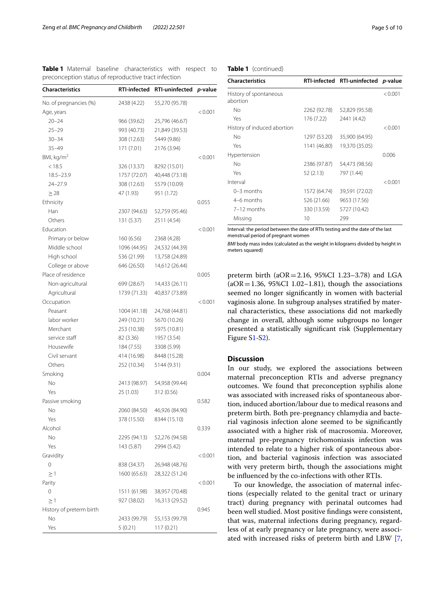<span id="page-4-0"></span>**Table 1** Maternal baseline characteristics with respect to preconception status of reproductive tract infection

| <b>Characteristics</b>   | <b>RTI-infected</b> | <b>RTI-uninfected</b> | p-value |
|--------------------------|---------------------|-----------------------|---------|
| No. of pregnancies (%)   | 2438 (4.22)         | 55,270 (95.78)        |         |
| Age, years               |                     |                       | < 0.001 |
| $20 - 24$                | 966 (39.62)         | 25,796 (46.67)        |         |
| $25 - 29$                | 993 (40.73)         | 21,849 (39.53)        |         |
| $30 - 34$                | 308 (12.63)         | 5449 (9.86)           |         |
| $35 - 49$                | 171 (7.01)          | 2176 (3.94)           |         |
| BMI, kg/m <sup>2</sup>   |                     |                       | < 0.001 |
| < 18.5                   | 326 (13.37)         | 8292 (15.01)          |         |
| $18.5 - 23.9$            | 1757 (72.07)        | 40,448 (73.18)        |         |
| 24-27.9                  | 308 (12.63)         | 5579 (10.09)          |         |
| $\geq$ 28                | 47 (1.93)           | 951 (1.72)            |         |
| Ethnicity                |                     |                       | 0.055   |
| Han                      | 2307 (94.63)        | 52,759 (95.46)        |         |
| Others                   | 131 (5.37)          | 2511 (4.54)           |         |
| Education                |                     |                       | < 0.001 |
| Primary or below         | 160 (6.56)          | 2368 (4.28)           |         |
| Middle school            | 1096 (44.95)        | 24,532 (44.39)        |         |
| High school              | 536 (21.99)         | 13,758 (24.89)        |         |
| College or above         | 646 (26.50)         | 14,612 (26.44)        |         |
| Place of residence       |                     |                       | 0.005   |
| Non-agricultural         | 699 (28.67)         | 14,433 (26.11)        |         |
| Agricultural             | 1739 (71.33)        | 40,837 (73.89)        |         |
| Occupation               |                     |                       | < 0.001 |
| Peasant                  | 1004 (41.18)        | 24,768 (44.81)        |         |
| labor worker             | 249 (10.21)         | 5670 (10.26)          |         |
| Merchant                 | 253 (10.38)         | 5975 (10.81)          |         |
| service staff            | 82 (3.36)           | 1957 (3.54)           |         |
| Housewife                | 184 (7.55)          | 3308 (5.99)           |         |
| Civil servant            | 414 (16.98)         | 8448 (15.28)          |         |
| Others                   | 252 (10.34)         | 5144 (9.31)           |         |
| Smoking                  |                     |                       | 0.004   |
| No                       | 2413 (98.97)        | 54,958 (99.44)        |         |
| Yes                      | 25 (1.03)           | 312 (0.56)            |         |
| Passive smoking          |                     |                       | 0.582   |
| No                       | 2060 (84.50)        | 46,926 (84.90)        |         |
| Yes                      | 378 (15.50)         | 8344 (15.10)          |         |
| Alcohol                  |                     |                       | 0.339   |
| No.                      | 2295 (94.13)        | 52,276 (94.58)        |         |
| Yes                      | 143 (5.87)          | 2994 (5.42)           |         |
| Gravidity                |                     |                       | < 0.001 |
| 0                        | 838 (34.37)         | 26,948 (48.76)        |         |
| $\geq$ 1                 | 1600 (65.63)        | 28,322 (51.24)        |         |
| Parity                   |                     |                       | < 0.001 |
| 0                        | 1511 (61.98)        | 38,957 (70.48)        |         |
| $\geq$ 1                 | 927 (38.02)         | 16,313 (29.52)        |         |
| History of preterm birth |                     |                       | 0.945   |
| Νo                       | 2433 (99.79)        | 55,153 (99.79)        |         |
|                          |                     |                       |         |

# **Table 1** (continued)

| <b>Characteristics</b>             |              | RTI-infected RTI-uninfected p-value |         |
|------------------------------------|--------------|-------------------------------------|---------|
| History of spontaneous<br>abortion |              |                                     | < 0.001 |
| No                                 | 2262 (92.78) | 52,829 (95.58)                      |         |
| Yes                                | 176 (7.22)   | 2441 (4.42)                         |         |
| History of induced abortion        |              |                                     | < 0.001 |
| No                                 | 1297 (53.20) | 35,900 (64.95)                      |         |
| Yes                                | 1141 (46.80) | 19,370 (35.05)                      |         |
| Hypertension                       |              |                                     | 0.006   |
| No                                 | 2386 (97.87) | 54,473 (98.56)                      |         |
| Yes                                | 52 (2.13)    | 797 (1.44)                          |         |
| Interval                           |              |                                     | < 0.001 |
| $0-3$ months                       | 1572 (64.74) | 39,591 (72.02)                      |         |
| 4–6 months                         | 526 (21.66)  | 9653 (17.56)                        |         |
| 7-12 months                        | 330 (13.59)  | 5727 (10.42)                        |         |
| Missing                            | 10           | 299                                 |         |

Interval: the period between the date of RTIs testing and the date of the last menstrual period of pregnant women

*BMI* body mass index (calculated as the weight in kilograms divided by height in meters squared)

preterm birth ( $aOR = 2.16$ ,  $95\%CI$  1.23–3.78) and LGA  $(aOR = 1.36, 95\% CI 1.02-1.81)$ , though the associations seemed no longer signifcantly in women with bacterial vaginosis alone. In subgroup analyses stratifed by maternal characteristics, these associations did not markedly change in overall, although some subgroups no longer presented a statistically signifcant risk (Supplementary Figure S[1-S2](#page-8-6)).

# **Discussion**

In our study, we explored the associations between maternal preconception RTIs and adverse pregnancy outcomes. We found that preconception syphilis alone was associated with increased risks of spontaneous abortion, induced abortion/labour due to medical reasons and preterm birth. Both pre-pregnancy chlamydia and bacterial vaginosis infection alone seemed to be signifcantly associated with a higher risk of macrosomia. Moreover, maternal pre-pregnancy trichomoniasis infection was intended to relate to a higher risk of spontaneous abortion, and bacterial vaginosis infection was associated with very preterm birth, though the associations might be infuenced by the co-infections with other RTIs.

To our knowledge, the association of maternal infections (especially related to the genital tract or urinary tract) during pregnancy with perinatal outcomes had been well studied. Most positive fndings were consistent, that was, maternal infections during pregnancy, regardless of at early pregnancy or late pregnancy, were associated with increased risks of preterm birth and LBW [\[7](#page-8-5),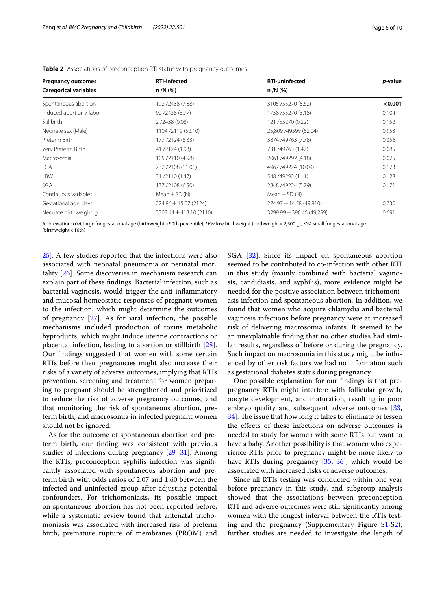| <b>Pregnancy outcomes</b>                         | <b>RTI-infected</b>       | <b>RTI-uninfected</b>     | p-value |  |
|---------------------------------------------------|---------------------------|---------------------------|---------|--|
| <b>Categorical variables</b>                      | $n/N$ (%)                 | $n/N$ (%)                 |         |  |
| Spontaneous abortion                              | 192 / 2438 (7.88)         | 3105/55270 (5.62)         | < 0.001 |  |
| Induced abortion / labor                          | 92/2438 (3.77)            | 1758/55270 (3.18)         | 0.104   |  |
| <b>Stillbirth</b>                                 | 2/2438(0.08)              | 121/55270 (0.22)          | 0.152   |  |
| Neonate sex (Male)                                | 1104/2119 (52.10)         | 25,809 /49599 (52.04)     | 0.953   |  |
| Preterm Birth<br>177 / 2124 (8.33)                |                           | 3874/49763 (7.78)         |         |  |
| Very Preterm Birth                                | 41/2124 (1.93)            | 731 /49763 (1.47)         | 0.085   |  |
| Macrosomia<br>105/2110 (4.98)                     |                           | 2061 /49292 (4.18)        | 0.075   |  |
| LGA<br>232/2108 (11.01)                           |                           | 4967 /49224 (10.09)       | 0.173   |  |
| <b>LBW</b><br>31/2110 (1.47)                      |                           | 548 / 49292 (1.11)        | 0.128   |  |
| SGA                                               | 137/2108 (6.50)           | 2848 / 49224 (5.79)       | 0.171   |  |
| Continuous variables                              | Mean $\pm$ SD (N)         | Mean $\pm$ SD (N)         |         |  |
| Gestational age, days                             | $274.86 \pm 15.07$ (2124) | 274.97 ± 14.58 (49,810)   | 0.730   |  |
| Neonate birthweight, g<br>3303.44 ± 413.10 (2110) |                           | 3299.99 ± 390.46 (49,299) | 0.691   |  |

<span id="page-5-0"></span>**Table 2** Associations of preconception RTI status with pregnancy outcomes

Abbreviation: *LGA*, large for gestational age (birthweight>90th percentile), *LBW* low birthweight (birthweight<2,500 g), *SGA* small for gestational age (birthweight<10th)

[25\]](#page-9-16). A few studies reported that the infections were also associated with neonatal pneumonia or perinatal mortality [[26\]](#page-9-17). Some discoveries in mechanism research can explain part of these fndings. Bacterial infection, such as bacterial vaginosis, would trigger the anti-infammatory and mucosal homeostatic responses of pregnant women to the infection, which might determine the outcomes of pregnancy [[27](#page-9-18)]. As for viral infection, the possible mechanisms included production of toxins metabolic byproducts, which might induce uterine contractions or placental infection, leading to abortion or stillbirth [\[28](#page-9-19)]. Our fndings suggested that women with some certain RTIs before their pregnancies might also increase their risks of a variety of adverse outcomes, implying that RTIs prevention, screening and treatment for women preparing to pregnant should be strengthened and prioritized to reduce the risk of adverse pregnancy outcomes, and that monitoring the risk of spontaneous abortion, preterm birth, and macrosomia in infected pregnant women should not be ignored.

As for the outcome of spontaneous abortion and preterm birth, our fnding was consistent with previous studies of infections during pregnancy [\[29](#page-9-20)[–31\]](#page-9-21). Among the RTIs, preconception syphilis infection was signifcantly associated with spontaneous abortion and preterm birth with odds ratios of 2.07 and 1.60 between the infected and uninfected group after adjusting potential confounders. For trichomoniasis, its possible impact on spontaneous abortion has not been reported before, while a systematic review found that antenatal trichomoniasis was associated with increased risk of preterm birth, premature rupture of membranes (PROM) and SGA [[32\]](#page-9-22). Since its impact on spontaneous abortion seemed to be contributed to co-infection with other RTI in this study (mainly combined with bacterial vaginosis, candidiasis, and syphilis), more evidence might be needed for the positive association between trichomoniasis infection and spontaneous abortion. In addition, we found that women who acquire chlamydia and bacterial vaginosis infections before pregnancy were at increased risk of delivering macrosomia infants. It seemed to be an unexplainable fnding that no other studies had similar results, regardless of before or during the pregnancy. Such impact on macrosomia in this study might be infuenced by other risk factors we had no information such as gestational diabetes status during pregnancy.

One possible explanation for our fndings is that prepregnancy RTIs might interfere with follicular growth, oocyte development, and maturation, resulting in poor embryo quality and subsequent adverse outcomes [[33](#page-9-23), 34. The issue that how long it takes to eliminate or lessen the efects of these infections on adverse outcomes is needed to study for women with some RTIs but want to have a baby. Another possibility is that women who experience RTIs prior to pregnancy might be more likely to have RTIs during pregnancy [[35,](#page-9-25) [36](#page-9-26)], which would be associated with increased risks of adverse outcomes.

Since all RTIs testing was conducted within one year before pregnancy in this study, and subgroup analysis showed that the associations between preconception RTI and adverse outcomes were still signifcantly among women with the longest interval between the RTIs testing and the pregnancy (Supplementary Figure [S1-S2](#page-8-6)), further studies are needed to investigate the length of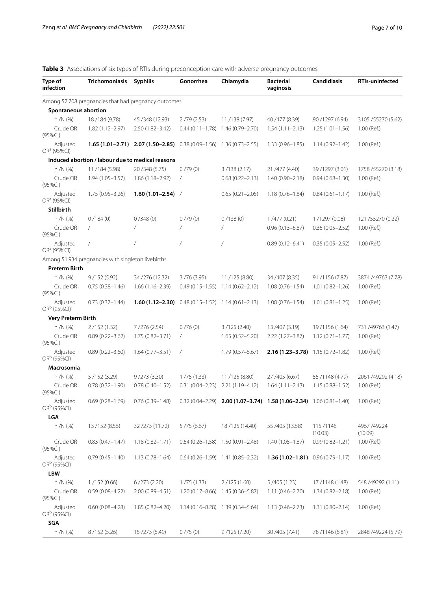<span id="page-6-0"></span>**Table 3** Associations of six types of RTIs during preconception care with adverse pregnancy outcomes

| Type of<br>infection                | Trichomoniasis                                       | <b>Syphilis</b>                                                            | Gonorrhea           | Chlamydia                            | <b>Bacterial</b><br>vaginosis                                               | <b>Candidiasis</b>  | <b>RTIs-uninfected</b>  |
|-------------------------------------|------------------------------------------------------|----------------------------------------------------------------------------|---------------------|--------------------------------------|-----------------------------------------------------------------------------|---------------------|-------------------------|
|                                     | Among 57,708 pregnancies that had pregnancy outcomes |                                                                            |                     |                                      |                                                                             |                     |                         |
| Spontaneous abortion                |                                                      |                                                                            |                     |                                      |                                                                             |                     |                         |
| n /N (%)                            | 18/184 (9.78)                                        | 45/348 (12.93)                                                             | 2/79(2.53)          | 11/138 (7.97)                        | 40 / 477 (8.39)                                                             | 90 / 1297 (6.94)    | 3105/55270 (5.62)       |
| Crude OR<br>(95%CI)                 | $1.82(1.12 - 2.97)$                                  | $2.50(1.82 - 3.42)$                                                        | $0.44(0.11 - 1.78)$ | 1.46 (0.79-2.70)                     | $1.54(1.11 - 2.13)$                                                         | $1.25(1.01-1.56)$   | 1.00 (Ref.)             |
| Adjusted<br>OR <sup>a</sup> (95%Cl) |                                                      | <b>1.65 (1.01–2.71) 2.07 (1.50–2.85)</b> 0.38 (0.09–1.56) 1.36 (0.73–2.55) |                     |                                      | $1.33(0.96 - 1.85)$                                                         | $1.14(0.92 - 1.42)$ | 1.00 (Ref.)             |
|                                     | Induced abortion / labour due to medical reasons     |                                                                            |                     |                                      |                                                                             |                     |                         |
| n /N (%)                            | 11/184 (5.98)                                        | 20/348 (5.75)                                                              | 0/79(0)             | 3/138 (2.17)                         | 21 / 477 (4.40)                                                             | 39/1297 (3.01)      | 1758 / 55270 (3.18)     |
| Crude OR<br>$(95\%CI)$              | $1.94(1.05 - 3.57)$                                  | $1.86(1.18 - 2.92)$                                                        | $\sqrt{2}$          | $0.68(0.22 - 2.13)$                  | $1.40(0.90 - 2.18)$                                                         | $0.94(0.68 - 1.30)$ | 1.00 (Ref.)             |
| Adjusted<br>OR <sup>a</sup> (95%Cl) | $1.75(0.95 - 3.26)$                                  | $1.60(1.01-2.54)$ /                                                        |                     | $0.65(0.21 - 2.05)$                  | $1.18(0.76 - 1.84)$                                                         | $0.84(0.61 - 1.17)$ | 1.00 (Ref.)             |
| <b>Stillbirth</b>                   |                                                      |                                                                            |                     |                                      |                                                                             |                     |                         |
| n /N (%)                            | 0/184(0)                                             | 0/348(0)                                                                   | 0/79(0)             | 0/138(0)                             | 1/477(0.21)                                                                 | 1/1297 (0.08)       | 121/55270 (0.22)        |
| Crude OR<br>(95%CI)                 | $\overline{1}$                                       | $\sqrt{2}$                                                                 | 7                   | $\prime$                             | $0.96(0.13 - 6.87)$                                                         | $0.35(0.05 - 2.52)$ | 1.00 (Ref.)             |
| Adjusted<br>OR <sup>a</sup> (95%Cl) | $\prime$                                             | $\sqrt{2}$                                                                 | 7                   | $\overline{1}$                       | $0.89(0.12 - 6.41)$                                                         | $0.35(0.05 - 2.52)$ | 1.00 (Ref.)             |
|                                     | Among 51,934 pregnancies with singleton livebirths   |                                                                            |                     |                                      |                                                                             |                     |                         |
| <b>Preterm Birth</b>                |                                                      |                                                                            |                     |                                      |                                                                             |                     |                         |
| n /N (%)                            | 9/152(5.92)                                          | 34/276 (12.32)                                                             | 3/76(3.95)          | 11/125 (8.80)                        | 34 / 407 (8.35)                                                             | 91/1156 (7.87)      | 3874 / 49763 (7.78)     |
| Crude OR<br>$(95\%CI)$              | $0.75(0.38 - 1.46)$                                  | $1.66(1.16 - 2.39)$                                                        | $0.49(0.15 - 1.55)$ | $1.14(0.62 - 2.12)$                  | $1.08(0.76 - 1.54)$                                                         | $1.01(0.82 - 1.26)$ | 1.00 (Ref.)             |
| Adjusted<br>OR <sup>b</sup> (95%CI) | $0.73(0.37 - 1.44)$                                  | <b>1.60 (1.12–2.30)</b> 0.48 (0.15–1.52) 1.14 (0.61–2.13)                  |                     |                                      | $1.08(0.76 - 1.54)$                                                         | $1.01(0.81 - 1.25)$ | 1.00 (Ref.)             |
| <b>Very Preterm Birth</b>           |                                                      |                                                                            |                     |                                      |                                                                             |                     |                         |
| $n/N$ (%)                           | 2/152(1.32)                                          | 7/276 (2.54)                                                               | 0/76(0)             | 3/125 (2.40)                         | 13/407 (3.19)                                                               | 19/1156 (1.64)      | 731 /49763 (1.47)       |
| Crude OR<br>(95%CI)                 | $0.89(0.22 - 3.62)$                                  | $1.75(0.82 - 3.71)$                                                        | $\sqrt{2}$          | $1.65(0.52 - 5.20)$                  | $2.22(1.27 - 3.87)$                                                         | $1.12(0.71 - 1.77)$ | 1.00 (Ref.)             |
| Adjusted<br>OR <sup>b</sup> (95%CI) | $0.89(0.22 - 3.60)$                                  | $1.64(0.77 - 3.51)$                                                        | $\overline{1}$      | $1.79(0.57 - 5.67)$                  | <b>2.16 (1.23–3.78)</b> 1.15 (0.72–1.82)                                    |                     | 1.00 (Ref.)             |
| Macrosomia                          |                                                      |                                                                            |                     |                                      |                                                                             |                     |                         |
| n /N (%)                            | 5/152(3.29)                                          | 9/273(3.30)                                                                | 1/75(1.33)          | 11/125 (8.80)                        | 27 / 405 (6.67)                                                             | 55 / 1148 (4.79)    | 2061 /49292 (4.18)      |
| Crude OR<br>(95%CI)                 | $0.78(0.32 - 1.90)$                                  | $0.78(0.40 - 1.52)$                                                        | $0.31(0.04 - 2.23)$ | $2.21(1.19 - 4.12)$                  | $1.64(1.11 - 2.43)$                                                         | $1.15(0.88 - 1.52)$ | 1.00 (Ref.)             |
| Adjusted<br>OR <sup>b</sup> (95%Cl) | $0.69(0.28 - 1.69)$                                  | $0.76(0.39 - 1.48)$                                                        |                     |                                      | $0.32(0.04-2.29)$ <b>2.00 (1.07-3.74) 1.58 (1.06-2.34)</b> 1.06 (0.81-1.40) |                     | 1.00 (Ref.)             |
| LGA                                 |                                                      |                                                                            |                     |                                      |                                                                             |                     |                         |
| n /N (%)                            | 13/152 (8.55)                                        | 32/273 (11.72)                                                             | 5/75(6.67)          | 18/125 (14.40)                       | 55 / 405 (13.58)                                                            | 115/1146<br>(10.03) | 4967 / 49224<br>(10.09) |
| Crude OR<br>$(95\%CI)$              | $0.83(0.47 - 1.47)$                                  | $1.18(0.82 - 1.71)$                                                        |                     | $0.64(0.26-1.58)$ $1.50(0.91-2.48)$  | $1.40(1.05 - 1.87)$                                                         | $0.99(0.82 - 1.21)$ | 1.00 (Ref.)             |
| Adjusted<br>OR <sup>b</sup> (95%CI) | $0.79(0.45 - 1.40)$                                  | $1.13(0.78 - 1.64)$                                                        |                     | $0.64(0.26-1.59)$ 1.41 $(0.85-2.32)$ | <b>1.36 (1.02–1.81)</b> 0.96 (0.79–1.17)                                    |                     | 1.00 (Ref.)             |
| <b>LBW</b>                          |                                                      |                                                                            |                     |                                      |                                                                             |                     |                         |
| n /N (%)                            | 1/152(0.66)                                          | 6/273(2.20)                                                                | 1/75(1.33)          | 2/125(1.60)                          | 5/405(1.23)                                                                 | 17/1148 (1.48)      | 548 / 49292 (1.11)      |
| Crude OR<br>(95%CI)                 | $0.59(0.08 - 4.22)$                                  | 2.00 (0.89-4.51)                                                           | $1.20(0.17 - 8.66)$ | $1.45(0.36 - 5.87)$                  | $1.11(0.46 - 2.70)$                                                         | $1.34(0.82 - 2.18)$ | 1.00 (Ref.)             |
| Adjusted<br>OR <sup>b</sup> (95%CI) | $0.60(0.08 - 4.28)$                                  | $1.85(0.82 - 4.20)$                                                        |                     | $1.14(0.16-8.28)$ $1.39(0.34-5.64)$  | $1.13(0.46 - 2.73)$                                                         | $1.31(0.80 - 2.14)$ | 1.00 (Ref.)             |
| SGA                                 |                                                      |                                                                            |                     |                                      |                                                                             |                     |                         |
| n /N (%)                            | 8/152(5.26)                                          | 15/273 (5.49)                                                              | 0/75(0)             | 9/125(7.20)                          | 30/405 (7.41)                                                               | 78/1146 (6.81)      | 2848 / 49224 (5.79)     |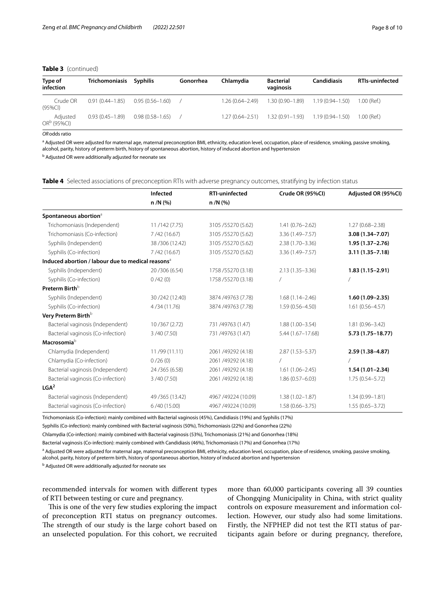## **Table 3** (continued)

|                     | Trichomoniasis Syphilis | Gonorrhea                                  | Chlamydia           | <b>Bacterial</b><br>vaginosis | <b>Candidiasis</b> | <b>RTIs-uninfected</b>                                                                       |
|---------------------|-------------------------|--------------------------------------------|---------------------|-------------------------------|--------------------|----------------------------------------------------------------------------------------------|
| 0.91 (0.44–1.85)    |                         |                                            | $1.26(0.64 - 2.49)$ |                               |                    | 1.00 (Ref.)                                                                                  |
| $0.93(0.45 - 1.89)$ |                         |                                            |                     |                               |                    | 1.00 (Ref.)                                                                                  |
|                     |                         | $0.95(0.56 - 1.60)$<br>$0.98(0.58 - 1.65)$ |                     |                               |                    | $1.30(0.90-1.89)$ $1.19(0.94-1.50)$<br>$1.27(0.64-2.51)$ $1.32(0.91-1.93)$ $1.19(0.94-1.50)$ |

*OR*odds ratio

<sup>a</sup> Adjusted OR were adjusted for maternal age, maternal preconception BMI, ethnicity, education level, occupation, place of residence, smoking, passive smoking, alcohol, parity, history of preterm birth, history of spontaneous abortion, history of induced abortion and hypertension

<sup>b</sup> Adjusted OR were additionally adjusted for neonate sex

# <span id="page-7-0"></span>**Table 4** Selected associations of preconception RTIs with adverse pregnancy outcomes, stratifying by infection status

|                                                               | Infected         | <b>RTI-uninfected</b> | Crude OR (95%CI)     | Adjusted OR (95%CI) |
|---------------------------------------------------------------|------------------|-----------------------|----------------------|---------------------|
|                                                               | n /N (%)         | $n/N$ (%)             |                      |                     |
| Spontaneous abortion <sup>a</sup>                             |                  |                       |                      |                     |
| Trichomoniasis (Independent)                                  | 11/142 (7.75)    | 3105/55270 (5.62)     | $1.41(0.76 - 2.62)$  | $1.27(0.68 - 2.38)$ |
| Trichomoniasis (Co-infection)                                 | 7/42(16.67)      | 3105 / 55270 (5.62)   | 3.36 (1.49-7.57)     | 3.08 (1.34-7.07)    |
| Syphilis (Independent)                                        | 38/306 (12.42)   | 3105 / 55270 (5.62)   | $2.38(1.70 - 3.36)$  | $1.95(1.37 - 2.76)$ |
| Syphilis (Co-infection)                                       | 7/42(16.67)      | 3105/55270 (5.62)     | 3.36 (1.49-7.57)     | $3.11(1.35 - 7.18)$ |
| Induced abortion / labour due to medical reasons <sup>a</sup> |                  |                       |                      |                     |
| Syphilis (Independent)                                        | 20/306 (6.54)    | 1758 / 55270 (3.18)   | $2.13(1.35 - 3.36)$  | $1.83(1.15 - 2.91)$ |
| Syphilis (Co-infection)                                       | 0/42(0)          | 1758 / 55270 (3.18)   |                      |                     |
| Preterm Birth <sup>b</sup>                                    |                  |                       |                      |                     |
| Syphilis (Independent)                                        | 30/242 (12.40)   | 3874 /49763 (7.78)    | $1.68(1.14 - 2.46)$  | $1.60(1.09 - 2.35)$ |
| Syphilis (Co-infection)                                       | 4/34(11.76)      | 3874 /49763 (7.78)    | $1.59(0.56 - 4.50)$  | $1.61(0.56 - 4.57)$ |
| Very Preterm Birth <sup>b</sup>                               |                  |                       |                      |                     |
| Bacterial vaginosis (Independent)                             | 10/367 (2.72)    | 731 /49763 (1.47)     | $1.88(1.00 - 3.54)$  | $1.81(0.96 - 3.42)$ |
| Bacterial vaginosis (Co-infection)                            | 3/40(7.50)       | 731 /49763 (1.47)     | $5.44(1.67 - 17.68)$ | 5.73 (1.75-18.77)   |
| Macrosomia <sup>b</sup>                                       |                  |                       |                      |                     |
| Chlamydia (Independent)                                       | 11/99 (11.11)    | 2061 /49292 (4.18)    | $2.87(1.53 - 5.37)$  | $2.59(1.38 - 4.87)$ |
| Chlamydia (Co-infection)                                      | 0/26(0)          | 2061 /49292 (4.18)    |                      |                     |
| Bacterial vaginosis (Independent)                             | 24/365 (6.58)    | 2061 /49292 (4.18)    | $1.61(1.06 - 2.45)$  | $1.54(1.01 - 2.34)$ |
| Bacterial vaginosis (Co-infection)                            | 3/40(7.50)       | 2061 /49292 (4.18)    | $1.86(0.57 - 6.03)$  | $1.75(0.54 - 5.72)$ |
| LGA <sup>2</sup>                                              |                  |                       |                      |                     |
| Bacterial vaginosis (Independent)                             | 49 / 365 (13.42) | 4967 /49224 (10.09)   | $1.38(1.02 - 1.87)$  | $1.34(0.99 - 1.81)$ |
| Bacterial vaginosis (Co-infection)                            | 6/40(15.00)      | 4967 /49224 (10.09)   | $1.58(0.66 - 3.75)$  | $1.55(0.65 - 3.72)$ |

Trichomoniasis (Co-infection): mainly combined with Bacterial vaginosis (45%), Candidiasis (19%) and Syphilis (17%)

Syphilis (Co-infection): mainly combined with Bacterial vaginosis (50%), Trichomoniasis (22%) and Gonorrhea (22%)

Chlamydia (Co-infection): mainly combined with Bacterial vaginosis (53%), Trichomoniasis (21%) and Gonorrhea (18%)

Bacterial vaginosis (Co-infection): mainly combined with Candidiasis (46%), Trichomoniasis (17%) and Gonorrhea (17%)

<sup>a</sup> Adjusted OR were adjusted for maternal age, maternal preconception BMI, ethnicity, education level, occupation, place of residence, smoking, passive smoking, alcohol, parity, history of preterm birth, history of spontaneous abortion, history of induced abortion and hypertension

<sup>b</sup> Adjusted OR were additionally adjusted for neonate sex

recommended intervals for women with diferent types of RTI between testing or cure and pregnancy.

This is one of the very few studies exploring the impact of preconception RTI status on pregnancy outcomes. The strength of our study is the large cohort based on an unselected population. For this cohort, we recruited more than 60,000 participants covering all 39 counties of Chongqing Municipality in China, with strict quality controls on exposure measurement and information collection. However, our study also had some limitations. Firstly, the NFPHEP did not test the RTI status of participants again before or during pregnancy, therefore,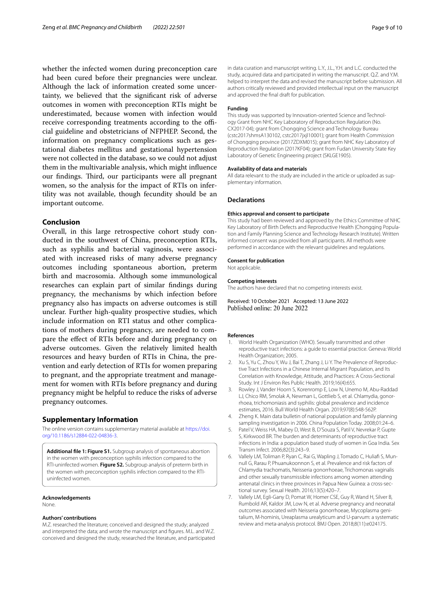whether the infected women during preconception care had been cured before their pregnancies were unclear. Although the lack of information created some uncertainty, we believed that the signifcant risk of adverse outcomes in women with preconception RTIs might be underestimated, because women with infection would receive corresponding treatments according to the official guideline and obstetricians of NFPHEP. Second, the information on pregnancy complications such as gestational diabetes mellitus and gestational hypertension were not collected in the database, so we could not adjust them in the multivariable analysis, which might infuence our findings. Third, our participants were all pregnant women, so the analysis for the impact of RTIs on infertility was not available, though fecundity should be an important outcome.

# **Conclusion**

Overall, in this large retrospective cohort study conducted in the southwest of China, preconception RTIs, such as syphilis and bacterial vaginosis, were associated with increased risks of many adverse pregnancy outcomes including spontaneous abortion, preterm birth and macrosomia. Although some immunological researches can explain part of similar fndings during pregnancy, the mechanisms by which infection before pregnancy also has impacts on adverse outcomes is still unclear. Further high-quality prospective studies, which include information on RTI status and other complications of mothers during pregnancy, are needed to compare the efect of RTIs before and during pregnancy on adverse outcomes. Given the relatively limited health resources and heavy burden of RTIs in China, the prevention and early detection of RTIs for women preparing to pregnant, and the appropriate treatment and management for women with RTIs before pregnancy and during pregnancy might be helpful to reduce the risks of adverse pregnancy outcomes.

# **Supplementary Information**

The online version contains supplementary material available at [https://doi.](https://doi.org/10.1186/s12884-022-04836-3) [org/10.1186/s12884-022-04836-3](https://doi.org/10.1186/s12884-022-04836-3).

<span id="page-8-6"></span>**Additional fle 1: Figure S1.** Subgroup analysis of spontaneous abortion in the women with preconception syphilis infection compared to the RTI-uninfected women. **Figure S2.** Subgroup analysis of preterm birth in the women with preconception syphilis infection compared to the RTIuninfected women.

#### **Acknowledgements**

None.

#### **Authors' contributions**

M.Z. researched the literature; conceived and designed the study; analyzed and interpreted the data; and wrote the manuscript and fgures. M.L. and W.Z. conceived and designed the study, researched the literature, and participated

in data curation and manuscript writing. L.Y., J.L., Y.H. and L.C. conducted the study, acquired data and participated in writing the manuscript. Q.Z. and Y.M. helped to interpret the data and revised the manuscript before submission. All authors critically reviewed and provided intellectual input on the manuscript and approved the fnal draft for publication.

#### **Funding**

This study was supported by Innovation-oriented Science and Technology Grant from NHC Key Laboratory of Reproduction Regulation (No. CX2017-04); grant from Chongqing Science and Technology Bureau (cstc2017shmsA130102, cstc2017jxjl10001); grant from Health Commission of Chongqing province (2017ZDXM015); grant from NHC Key Laboratory of Reproduction Regulation (2017KF04); grant from Fudan University State Key Laboratory of Genetic Engineering project (SKLGE1905).

#### **Availability of data and materials**

All data relevant to the study are included in the article or uploaded as supplementary information.

#### **Declarations**

#### **Ethics approval and consent to participate**

This study had been reviewed and approved by the Ethics Committee of NHC Key Laboratory of Birth Defects and Reproductive Health (Chongqing Population and Family Planning Science and Technology Research Institute). Written informed consent was provided from all participants. All methods were performed in accordance with the relevant guidelines and regulations.

#### **Consent for publication**

Not applicable.

## **Competing interests**

The authors have declared that no competing interests exist.

Received: 10 October 2021 Accepted: 13 June 2022 Published online: 20 June 2022

#### **References**

- <span id="page-8-0"></span>1. World Health Organization (WHO). Sexually transmitted and other reproductive tract infections: a guide to essential practice. Geneva: World Health Organization; 2005.
- <span id="page-8-1"></span>2. Xu S, Yu C, Zhou Y, Wu J, Bai T, Zhang J, Li Y. The Prevalence of Reproductive Tract Infections in a Chinese Internal Migrant Population, and Its Correlation with Knowledge, Attitude, and Practices: A Cross-Sectional Study. Int J Environ Res Public Health. 2019;16(4):655.
- <span id="page-8-2"></span>3. Rowley J, Vander Hoorn S, Korenromp E, Low N, Unemo M, Abu-Raddad LJ, Chico RM, Smolak A, Newman L, Gottlieb S, et al. Chlamydia, gonorrhoea, trichomoniasis and syphilis: global prevalence and incidence estimates, 2016. Bull World Health Organ. 2019;97(8):548-562P.
- <span id="page-8-3"></span>4. Zheng K. Main data bulletin of national population and family planning sampling investigation in 2006. China Population Today. 2008;01:24–6.
- <span id="page-8-4"></span>5. Patel V, Weiss HA, Mabey D, West B, D'Souza S, Patil V, Nevrekar P, Gupte S, Kirkwood BR. The burden and determinants of reproductive tract infections in India: a population based study of women in Goa India. Sex Transm Infect. 2006;82(3):243–9.
- 6. Vallely LM, Toliman P, Ryan C, Rai G, Wapling J, Tomado C, Huliaf S, Munnull G, Rarau P, Phuanukoonnon S, et al. Prevalence and risk factors of Chlamydia trachomatis, Neisseria gonorrhoeae, Trichomonas vaginalis and other sexually transmissible infections among women attending antenatal clinics in three provinces in Papua New Guinea: a cross-sectional survey. Sexual Health. 2016;13(5):420–7.
- <span id="page-8-5"></span>7. Vallely LM, Egli-Gany D, Pomat W, Homer CSE, Guy R, Wand H, Silver B, Rumbold AR, Kaldor JM, Low N, et al. Adverse pregnancy and neonatal outcomes associated with Neisseria gonorrhoeae, Mycoplasma genitalium, M-hominis, Ureaplasma urealyticum and U-parvum: a systematic review and meta-analysis protocol. BMJ Open. 2018;8(11):e024175.